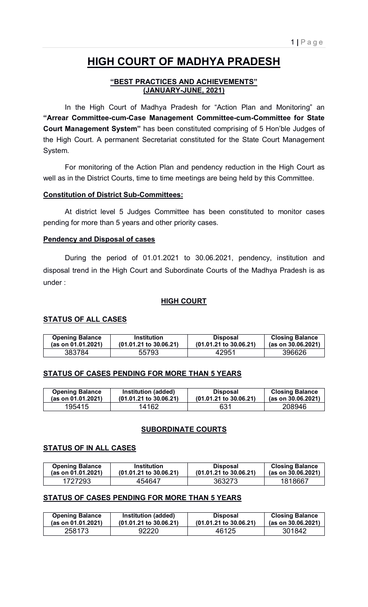# **HIGH COURT OF MADHYA PRADESH**

# **"BEST PRACTICES AND ACHIEVEMENTS" (JANUARY-JUNE, 2021)**

 In the High Court of Madhya Pradesh for "Action Plan and Monitoring" an **"Arrear Committee-cum-Case Management Committee-cum-Committee for State Court Management System"** has been constituted comprising of 5 Hon'ble Judges of the High Court. A permanent Secretariat constituted for the State Court Management System.

 For monitoring of the Action Plan and pendency reduction in the High Court as well as in the District Courts, time to time meetings are being held by this Committee.

# **Constitution of District Sub-Committees:**

 At district level 5 Judges Committee has been constituted to monitor cases pending for more than 5 years and other priority cases.

# **Pendency and Disposal of cases**

 During the period of 01.01.2021 to 30.06.2021, pendency, institution and disposal trend in the High Court and Subordinate Courts of the Madhya Pradesh is as under :

# **HIGH COURT**

# **STATUS OF ALL CASES**

| <b>Opening Balance</b> | <b>Institution</b>                | <b>Disposal</b>                   | <b>Closing Balance</b> |
|------------------------|-----------------------------------|-----------------------------------|------------------------|
| (as on 01.01.2021)     | $(01.01.21 \text{ to } 30.06.21)$ | $(01.01.21 \text{ to } 30.06.21)$ | (as on 30.06.2021)     |
| 383784                 | 55793                             | 42951                             | 396626                 |

# **STATUS OF CASES PENDING FOR MORE THAN 5 YEARS**

| <b>Opening Balance</b> | Institution (added)               | <b>Disposal</b>                   | <b>Closing Balance</b> |
|------------------------|-----------------------------------|-----------------------------------|------------------------|
| (as on 01.01.2021)     | $(01.01.21 \text{ to } 30.06.21)$ | $(01.01.21 \text{ to } 30.06.21)$ | (as on 30.06.2021)     |
| 195415                 | 14162                             | 631                               | 208946                 |

# **SUBORDINATE COURTS**

## **STATUS OF IN ALL CASES**

| <b>Opening Balance</b> | Institution                       | <b>Disposal</b>                   | <b>Closing Balance</b> |
|------------------------|-----------------------------------|-----------------------------------|------------------------|
| (as on 01.01.2021)     | $(01.01.21 \text{ to } 30.06.21)$ | $(01.01.21 \text{ to } 30.06.21)$ | (as on 30.06.2021)     |
| 1727293                | 454647                            | 363273                            | 1818667                |

# **STATUS OF CASES PENDING FOR MORE THAN 5 YEARS**

| <b>Opening Balance</b> | Institution (added)               | <b>Disposal</b>                   | <b>Closing Balance</b> |
|------------------------|-----------------------------------|-----------------------------------|------------------------|
| (as on 01.01.2021)     | $(01.01.21 \text{ to } 30.06.21)$ | $(01.01.21 \text{ to } 30.06.21)$ | (as on 30.06.2021)     |
| 258173                 | 92220                             | 46125                             | 301842                 |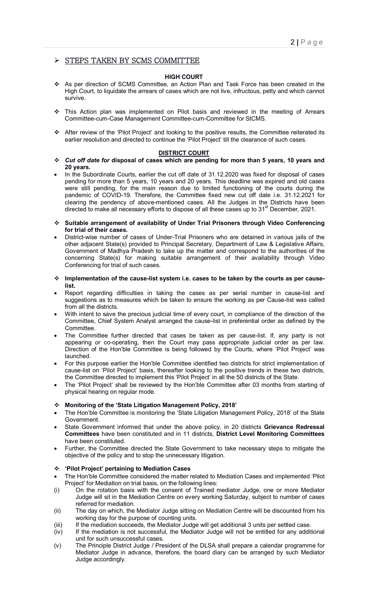## $\triangleright$  STEPS TAKEN BY SCMS COMMITTEE

#### **HIGH COURT**

- As per direction of SCMS Committee, an Action Plan and Task Force has been created in the High Court, to liquidate the arrears of cases which are not live, infructous, petty and which cannot survive.
- This Action plan was implemented on Pilot basis and reviewed in the meeting of Arrears Committee-cum-Case Management Committee-cum-Committee for StCMS.
- After review of the 'Pilot Project' and looking to the positive results, the Committee reiterated its earlier resolution and directed to continue the 'Pilot Project' till the clearance of such cases.

#### **DISTRICT COURT**

- *Cut off date for* **disposal of cases which are pending for more than 5 years, 10 years and 20 years.**
- In the Subordinate Courts, earlier the cut off date of 31.12.2020 was fixed for disposal of cases pending for more than 5 years, 10 years and 20 years. This deadline was expired and old cases were still pending, for the main reason due to limited functioning of the courts during the pandemic of COVID-19. Therefore, the Committee fixed new cut off date i.e. 31.12.2021 for clearing the pendency of above-mentioned cases. All the Judges in the Districts have been directed to make all necessary efforts to dispose of all these cases up to 31<sup>st</sup> December, 2021.
- **Suitable arrangement of availability of Under Trial Prisoners through Video Conferencing for trial of their cases.**
- District-wise number of cases of Under-Trial Prisoners who are detained in various jails of the other adjacent State(s) provided to Principal Secretary, Department of Law & Legislative Affairs, Government of Madhya Pradesh to take up the matter and correspond to the authorities of the concerning State(s) for making suitable arrangement of their availability through Video Conferencing for trial of such cases.
- **Implementation of the cause-list system i.e. cases to be taken by the courts as per causelist.**
- Report regarding difficulties in taking the cases as per serial number in cause-list and suggestions as to measures which be taken to ensure the working as per Cause-list was called from all the districts.
- With intent to save the precious judicial time of every court, in compliance of the direction of the Committee, Chief System Analyst arranged the cause-list in preferential order as defined by the Committee.
- The Committee further directed that cases be taken as per cause-list. If, any party is not appearing or co-operating, then the Court may pass appropriate judicial order as per law. Direction of the Hon'ble Committee is being followed by the Courts, where 'Pilot Project' was launched.
- For this purpose earlier the Hon'ble Committee identified two districts for strict implementation of cause-list on 'Pilot Project' basis, thereafter looking to the positive trends in these two districts, the Committee directed to implement this 'Pilot Project' in all the 50 districts of the State.
- The 'Pilot Project' shall be reviewed by the Hon'ble Committee after 03 months from starting of physical hearing on regular mode.

#### **Monitoring of the 'State Litigation Management Policy, 2018'**

- The Hon'ble Committee is monitoring the 'State Litigation Management Policy, 2018' of the State Government.
- State Government informed that under the above policy, in 20 districts **Grievance Redressal Committees** have been constituted and in 11 districts, **District Level Monitoring Committees** have been constituted.
- Further, the Committee directed the State Government to take necessary steps to mitigate the objective of the policy and to stop the unnecessary litigation.

#### **'Pilot Project' pertaining to Mediation Cases**

- The Hon'ble Committee considered the matter related to Mediation Cases and implemented 'Pilot Project' for Mediation on trial basis, on the following lines:
- (i) On the rotation basis with the consent of Trained mediator Judge, one or more Mediator Judge will sit in the Mediation Centre on every working Saturday, subject to number of cases referred for mediation.
- (ii) The day on which, the Mediator Judge sitting on Mediation Centre will be discounted from his working day for the purpose of counting units.
- (iii) If the mediation succeeds, the Mediator Judge will get additional 3 units per settled case.
- (iv) If the mediation is not successful, the Mediator Judge will not be entitled for any additional unit for such unsuccessful cases.
- (v) The Principle District Judge / President of the DLSA shall prepare a calendar programme for Mediator Judge in advance, therefore, the board diary can be arranged by such Mediator Judge accordingly.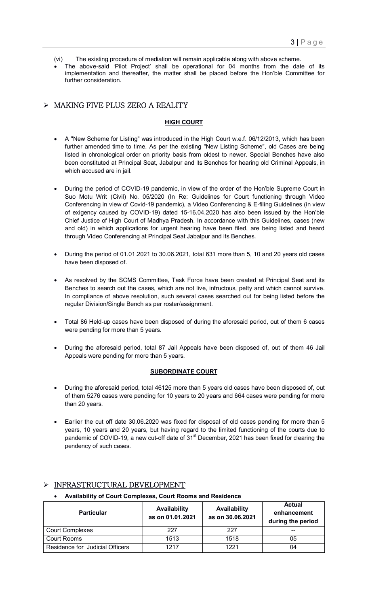- (vi) The existing procedure of mediation will remain applicable along with above scheme.
- The above-said 'Pilot Project' shall be operational for 04 months from the date of its implementation and thereafter, the matter shall be placed before the Hon'ble Committee for further consideration.

# MAKING FIVE PLUS ZERO A REALITY

#### **HIGH COURT**

- A "New Scheme for Listing" was introduced in the High Court w.e.f. 06/12/2013, which has been further amended time to time. As per the existing "New Listing Scheme", old Cases are being listed in chronological order on priority basis from oldest to newer. Special Benches have also been constituted at Principal Seat, Jabalpur and its Benches for hearing old Criminal Appeals, in which accused are in jail.
- During the period of COVID-19 pandemic, in view of the order of the Hon'ble Supreme Court in Suo Motu Writ (Civil) No. 05/2020 (In Re: Guidelines for Court functioning through Video Conferencing in view of Covid-19 pandemic), a Video Conferencing & E-filing Guidelines (in view of exigency caused by COVID-19) dated 15-16.04.2020 has also been issued by the Hon'ble Chief Justice of High Court of Madhya Pradesh. In accordance with this Guidelines, cases (new and old) in which applications for urgent hearing have been filed, are being listed and heard through Video Conferencing at Principal Seat Jabalpur and its Benches.
- During the period of 01.01.2021 to 30.06.2021, total 631 more than 5, 10 and 20 years old cases have been disposed of.
- As resolved by the SCMS Committee, Task Force have been created at Principal Seat and its Benches to search out the cases, which are not live, infructous, petty and which cannot survive. In compliance of above resolution, such several cases searched out for being listed before the regular Division/Single Bench as per roster/assignment.
- Total 86 Held-up cases have been disposed of during the aforesaid period, out of them 6 cases were pending for more than 5 years.
- During the aforesaid period, total 87 Jail Appeals have been disposed of, out of them 46 Jail Appeals were pending for more than 5 years.

#### **SUBORDINATE COURT**

- During the aforesaid period, total 46125 more than 5 years old cases have been disposed of, out of them 5276 cases were pending for 10 years to 20 years and 664 cases were pending for more than 20 years.
- Earlier the cut off date 30.06.2020 was fixed for disposal of old cases pending for more than 5 years, 10 years and 20 years, but having regard to the limited functioning of the courts due to pandemic of COVID-19, a new cut-off date of  $31<sup>st</sup>$  December, 2021 has been fixed for clearing the pendency of such cases.

| <b>Particular</b>               | Availability<br>as on 01.01.2021 | Availability<br>as on 30.06.2021 | Actual<br>enhancement<br>during the period |
|---------------------------------|----------------------------------|----------------------------------|--------------------------------------------|
| <b>Court Complexes</b>          | 227                              | 227                              |                                            |
| Court Rooms                     | 1513                             | 1518                             | 05                                         |
| Residence for Judicial Officers | 1217                             | 1221                             | 04                                         |

# INFRASTRUCTURAL DEVELOPMENT

### **Availability of Court Complexes, Court Rooms and Residence**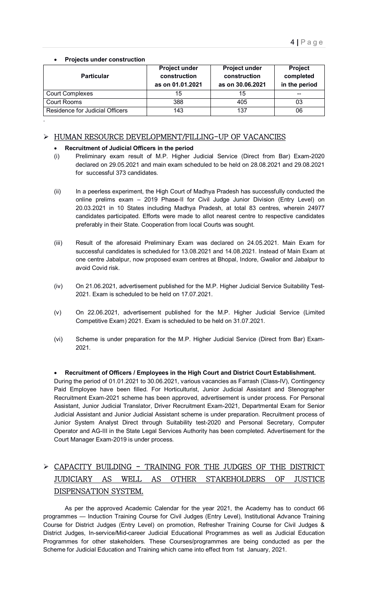**Projects under construction** 

.

| <b>Particular</b>               | <b>Project under</b><br>construction<br>as on 01.01.2021 | <b>Project under</b><br>construction<br>as on 30.06.2021 | Project<br>completed<br>in the period |
|---------------------------------|----------------------------------------------------------|----------------------------------------------------------|---------------------------------------|
| <b>Court Complexes</b>          | 15                                                       | 15                                                       | --                                    |
| Court Rooms                     | 388                                                      | 405                                                      | 03                                    |
| Residence for Judicial Officers | 143                                                      | 137                                                      | 06                                    |

# HUMAN RESOURCE DEVELOPMENT/FILLING-UP OF VACANCIES

### **Recruitment of Judicial Officers in the period**

- (i) Preliminary exam result of M.P. Higher Judicial Service (Direct from Bar) Exam-2020 declared on 29.05.2021 and main exam scheduled to be held on 28.08.2021 and 29.08.2021 for successful 373 candidates.
- (ii) In a peerless experiment, the High Court of Madhya Pradesh has successfully conducted the online prelims exam – 2019 Phase-II for Civil Judge Junior Division (Entry Level) on 20.03.2021 in 10 States including Madhya Pradesh, at total 83 centres, wherein 24977 candidates participated. Efforts were made to allot nearest centre to respective candidates preferably in their State. Cooperation from local Courts was sought.
- (iii) Result of the aforesaid Preliminary Exam was declared on 24.05.2021. Main Exam for successful candidates is scheduled for 13.08.2021 and 14.08.2021. Instead of Main Exam at one centre Jabalpur, now proposed exam centres at Bhopal, Indore, Gwalior and Jabalpur to avoid Covid risk.
- (iv) On 21.06.2021, advertisement published for the M.P. Higher Judicial Service Suitability Test-2021. Exam is scheduled to be held on 17.07.2021.
- (v) On 22.06.2021, advertisement published for the M.P. Higher Judicial Service (Limited Competitive Exam) 2021. Exam is scheduled to be held on 31.07.2021.
- (vi) Scheme is under preparation for the M.P. Higher Judicial Service (Direct from Bar) Exam-2021.

# **Recruitment of Officers / Employees in the High Court and District Court Establishment.**

During the period of 01.01.2021 to 30.06.2021, various vacancies as Farrash (Class-IV), Contingency Paid Employee have been filled. For Horticulturist, Junior Judicial Assistant and Stenographer Recruitment Exam-2021 scheme has been approved, advertisement is under process. For Personal Assistant, Junior Judicial Translator, Driver Recruitment Exam-2021, Departmental Exam for Senior Judicial Assistant and Junior Judicial Assistant scheme is under preparation. Recruitment process of Junior System Analyst Direct through Suitability test-2020 and Personal Secretary, Computer Operator and AG-III in the State Legal Services Authority has been completed. Advertisement for the Court Manager Exam-2019 is under process.

# CAPACITY BUILDING - TRAINING FOR THE JUDGES OF THE DISTRICT JUDICIARY AS WELL AS OTHER STAKEHOLDERS OF JUSTICE DISPENSATION SYSTEM.

 As per the approved Academic Calendar for the year 2021, the Academy has to conduct 66 programmes — Induction Training Course for Civil Judges (Entry Level), Institutional Advance Training Course for District Judges (Entry Level) on promotion, Refresher Training Course for Civil Judges & District Judges, In-service/Mid-career Judicial Educational Programmes as well as Judicial Education Programmes for other stakeholders. These Courses/programmes are being conducted as per the Scheme for Judicial Education and Training which came into effect from 1st January, 2021.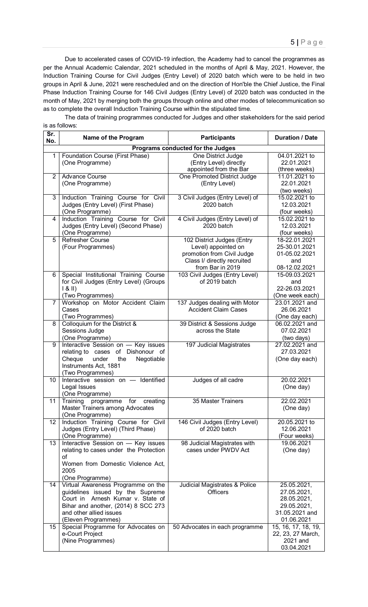Due to accelerated cases of COVID-19 infection, the Academy had to cancel the programmes as per the Annual Academic Calendar, 2021 scheduled in the months of April & May, 2021. However, the Induction Training Course for Civil Judges (Entry Level) of 2020 batch which were to be held in two groups in April & June, 2021 were rescheduled and on the direction of Hon'ble the Chief Justice, the Final Phase Induction Training Course for 146 Civil Judges (Entry Level) of 2020 batch was conducted in the month of May, 2021 by merging both the groups through online and other modes of telecommunication so as to complete the overall Induction Training Course within the stipulated time.

 The data of training programmes conducted for Judges and other stakeholders for the said period is as follows:

| Sr.<br>No.     | Name of the Program                             | <b>Participants</b>                                       | <b>Duration / Date</b>         |
|----------------|-------------------------------------------------|-----------------------------------------------------------|--------------------------------|
|                |                                                 | Programs conducted for the Judges                         |                                |
| 1              | Foundation Course (First Phase)                 | One District Judge                                        | 04.01.2021 to                  |
|                | (One Programme)                                 | (Entry Level) directly                                    | 22.01.2021                     |
| 2              | <b>Advance Course</b>                           | appointed from the Bar<br>One Promoted District Judge     | (three weeks)<br>11.01.2021 to |
|                | (One Programme)                                 | (Entry Level)                                             | 22.01.2021                     |
|                |                                                 |                                                           | (two weeks)                    |
| 3              | Induction Training Course for Civil             | 3 Civil Judges (Entry Level) of                           | 15.02.2021 to                  |
|                | Judges (Entry Level) (First Phase)              | 2020 batch                                                | 12.03.2021                     |
|                | (One Programme)                                 |                                                           | (four weeks)                   |
| 4              | Induction Training Course for Civil             | 4 Civil Judges (Entry Level) of                           | 15.02.2021 to                  |
|                | Judges (Entry Level) (Second Phase)             | 2020 batch                                                | 12.03.2021                     |
|                | (One Programme)                                 |                                                           | (four weeks)                   |
| 5              | <b>Refresher Course</b>                         | 102 District Judges (Entry                                | 18-22.01.2021                  |
|                | (Four Programmes)                               | Level) appointed on                                       | 25-30.01.2021                  |
|                |                                                 | promotion from Civil Judge<br>Class I/ directly recruited | 01-05.02.2021<br>and           |
|                |                                                 | from Bar in 2019                                          | 08-12.02.2021                  |
| 6              | Special Institutional Training Course           | 103 Civil Judges (Entry Level)                            | 15-09.03.2021                  |
|                | for Civil Judges (Entry Level) (Groups          | of 2019 batch                                             | and                            |
|                | 8                                               |                                                           | 22-26.03.2021                  |
|                | (Two Programmes)                                |                                                           | (One week each)                |
| $\overline{7}$ | Workshop on Motor Accident Claim                | 137 Judges dealing with Motor                             | 23.01.2021 and                 |
|                | Cases                                           | <b>Accident Claim Cases</b>                               | 26.06.2021                     |
|                | (Two Programmes)                                |                                                           | (One day each)                 |
| 8              | Colloquium for the District &<br>Sessions Judge | 39 District & Sessions Judge<br>across the State          | 06.02.2021 and<br>07.02.2021   |
|                | (One Programme)                                 |                                                           | (two days)                     |
| 9              | Interactive Session on - Key issues             | 197 Judicial Magistrates                                  | 27.02.2021 and                 |
|                | relating to cases of Dishonour of               |                                                           | 27.03.2021                     |
|                | under<br>Cheque<br>the<br>Negotiable            |                                                           | (One day each)                 |
|                | Instruments Act, 1881                           |                                                           |                                |
|                | (Two Programmes)                                |                                                           |                                |
| 10             | Interactive session on -<br>Identified          | Judges of all cadre                                       | 20.02.2021                     |
|                | Legal Issues                                    |                                                           | (One day)                      |
| 11             | (One Programme)<br>programme for creating       | 35 Master Trainers                                        | 22.02.2021                     |
|                | Training<br>Master Trainers among Advocates     |                                                           | (One day)                      |
|                | (One Programme)                                 |                                                           |                                |
| 12             | Induction Training Course for Civil             | 146 Civil Judges (Entry Level)                            | 20.05.2021 to                  |
|                | Judges (Entry Level) (Third Phase)              | of 2020 batch                                             | 12.06.2021                     |
|                | (One Programme)                                 |                                                           | (Four weeks)                   |
| 13             | Interactive Session on - Key issues             | 98 Judicial Magistrates with                              | 19.06.2021                     |
|                | relating to cases under the Protection          | cases under PWDV Act                                      | (One day)                      |
|                | οf<br>Women from Domestic Violence Act.         |                                                           |                                |
|                | 2005                                            |                                                           |                                |
|                | (One Programme)                                 |                                                           |                                |
| 14             | Virtual Awareness Programme on the              | Judicial Magistrates & Police                             | 25.05.2021,                    |
|                | guidelines issued by the Supreme                | <b>Officers</b>                                           | 27.05.2021,                    |
|                | Court in Arnesh Kumar v. State of               |                                                           | 28.05.2021,                    |
|                | Bihar and another, (2014) 8 SCC 273             |                                                           | 29.05.2021,                    |
|                | and other allied issues                         |                                                           | 31.05.2021 and                 |
|                | (Eleven Programmes)                             |                                                           | 01.06.2021                     |
| 15             | Special Programme for Advocates on              | 50 Advocates in each programme                            | 15, 16, 17, 18, 19,            |
|                | e-Court Project<br>(Nine Programmes)            |                                                           | 22, 23, 27 March,<br>2021 and  |
|                |                                                 |                                                           | 03.04.2021                     |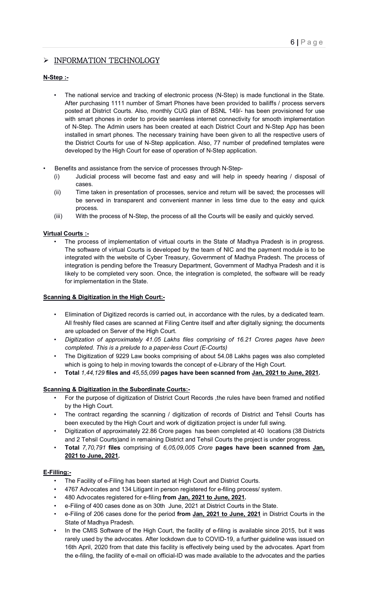# $\triangleright$  INFORMATION TECHNOLOGY

### **N-Step :-**

- The national service and tracking of electronic process (N-Step) is made functional in the State. After purchasing 1111 number of Smart Phones have been provided to bailiffs / process servers posted at District Courts. Also, monthly CUG plan of BSNL 149/- has been provisioned for use with smart phones in order to provide seamless internet connectivity for smooth implementation of N-Step. The Admin users has been created at each District Court and N-Step App has been installed in smart phones. The necessary training have been given to all the respective users of the District Courts for use of N-Step application. Also, 77 number of predefined templates were developed by the High Court for ease of operation of N-Step application.
- Benefits and assistance from the service of processes through N-Step-
	- (i) Judicial process will become fast and easy and will help in speedy hearing / disposal of cases.
	- (ii) Time taken in presentation of processes, service and return will be saved; the processes will be served in transparent and convenient manner in less time due to the easy and quick process.
	- (iii) With the process of N-Step, the process of all the Courts will be easily and quickly served.

## **Virtual Courts :-**

The process of implementation of virtual courts in the State of Madhya Pradesh is in progress. The software of virtual Courts is developed by the team of NIC and the payment module is to be integrated with the website of Cyber Treasury, Government of Madhya Pradesh. The process of integration is pending before the Treasury Department, Government of Madhya Pradesh and it is likely to be completed very soon. Once, the integration is completed, the software will be ready for implementation in the State.

#### **Scanning & Digitization in the High Court:-**

- Elimination of Digitized records is carried out, in accordance with the rules, by a dedicated team. All freshly filed cases are scanned at Filing Centre itself and after digitally signing; the documents are uploaded on Server of the High Court.
- *Digitization of approximately 41.05 Lakhs files comprising of 16.21 Crores pages have been completed. This is a prelude to a paper-less Court (E-Courts)*
- The Digitization of 9229 Law books comprising of about 54.08 Lakhs pages was also completed which is going to help in moving towards the concept of e-Library of the High Court.
- **Total** *1,44,129* **files and** *45,55,099* **pages have been scanned from Jan, 2021 to June, 2021.**

## **Scanning & Digitization in the Subordinate Courts:-**

- For the purpose of digitization of District Court Records ,the rules have been framed and notified by the High Court.
- The contract regarding the scanning / digitization of records of District and Tehsil Courts has been executed by the High Court and work of digitization project is under full swing.
- Digitization of approximately 22.86 Crore pages has been completed at 40 locations (38 Districts and 2 Tehsil Courts)and in remaining District and Tehsil Courts the project is under progress.
- **Total** *7,70,791* **files** comprising of *6,05,09,005 Crore* **pages have been scanned from Jan, 2021 to June, 2021.**

#### **E-Filling:-**

- The Facility of e-Filing has been started at High Court and District Courts.
- 4767 Advocates and 134 Litigant in person registered for e-filing process/ system.
- 480 Advocates registered for e-filing **from Jan, 2021 to June, 2021.**
- e-Filing of 400 cases done as on 30th June, 2021 at District Courts in the State.
- e-Filing of 206 cases done for the period **from Jan, 2021 to June, 2021** in District Courts in the State of Madhya Pradesh.
- In the CMIS Software of the High Court, the facility of e-filing is available since 2015, but it was rarely used by the advocates. After lockdown due to COVID-19, a further guideline was issued on 16th April, 2020 from that date this facility is effectively being used by the advocates. Apart from the e-filing, the facility of e-mail on official-ID was made available to the advocates and the parties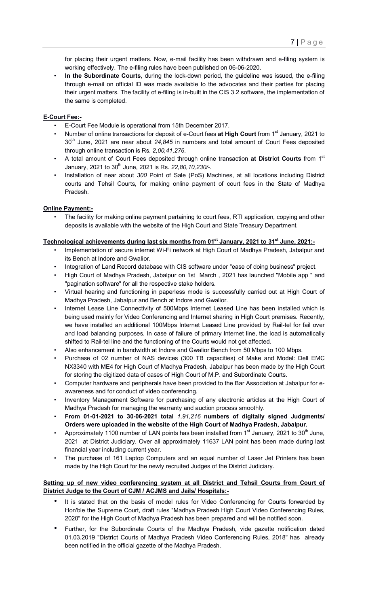for placing their urgent matters. Now, e-mail facility has been withdrawn and e-filing system is working effectively. The e-filing rules have been published on 06-06-2020.

• **In the Subordinate Courts**, during the lock-down period, the guideline was issued, the e-filing through e-mail on official ID was made available to the advocates and their parties for placing their urgent matters. The facility of e-filing is in-built in the CIS 3.2 software, the implementation of the same is completed.

### **E-Court Fee:-**

- E-Court Fee Module is operational from 15th December 2017.
- Number of online transactions for deposit of e-Court fees **at High Court** from 1st January, 2021 to 30th June, 2021 are near about *24,845* in numbers and total amount of Court Fees deposited through online transaction is Rs. *2,00,41,276*.
- A total amount of Court Fees deposited through online transaction **at District Courts** from 1st January, 2021 to 30<sup>th</sup> June, 2021 is Rs. 22,80,10,230/-.
- Installation of near about *300* Point of Sale (PoS) Machines, at all locations including District courts and Tehsil Courts, for making online payment of court fees in the State of Madhya Pradesh.

### **Online Payment:-**

• The facility for making online payment pertaining to court fees, RTI application, copying and other deposits is available with the website of the High Court and State Treasury Department.

# Technological achievements during last six months from 01<sup>st</sup> January, 2021 to 31<sup>st</sup> June, 2021:-

- Implementation of secure internet Wi-Fi network at High Court of Madhya Pradesh, Jabalpur and its Bench at Indore and Gwalior.
- Integration of Land Record database with CIS software under "ease of doing business" project.
- High Court of Madhya Pradesh, Jabalpur on 1st March , 2021 has launched "Mobile app " and "pagination software" for all the respective stake holders.
- Virtual hearing and functioning in paperless mode is successfully carried out at High Court of Madhya Pradesh, Jabalpur and Bench at Indore and Gwalior.
- Internet Lease Line Connectivity of 500Mbps Internet Leased Line has been installed which is being used mainly for Video Conferencing and Internet sharing in High Court premises. Recently, we have installed an additional 100Mbps Internet Leased Line provided by Rail-tel for fail over and load balancing purposes. In case of failure of primary Internet line, the load is automatically shifted to Rail-tel line and the functioning of the Courts would not get affected.
- Also enhancement in bandwidth at Indore and Gwalior Bench from 50 Mbps to 100 Mbps.
- Purchase of 02 number of NAS devices (300 TB capacities) of Make and Model: Dell EMC NX3340 with ME4 for High Court of Madhya Pradesh, Jabalpur has been made by the High Court for storing the digitized data of cases of High Court of M.P. and Subordinate Courts.
- Computer hardware and peripherals have been provided to the Bar Association at Jabalpur for eawareness and for conduct of video conferencing.
- Inventory Management Software for purchasing of any electronic articles at the High Court of Madhya Pradesh for managing the warranty and auction process smoothly.
- **From 01-01-2021 to 30-06-2021 total** *1,91,216* **numbers of digitally signed Judgments/ Orders were uploaded in the website of the High Court of Madhya Pradesh, Jabalpur.**
- Approximately 1100 number of LAN points has been installed from  $1<sup>st</sup>$  January, 2021 to 30<sup>th</sup> June, 2021 at District Judiciary. Over all approximately 11637 LAN point has been made during last financial year including current year.
- The purchase of 161 Laptop Computers and an equal number of Laser Jet Printers has been made by the High Court for the newly recruited Judges of the District Judiciary.

#### **Setting up of new video conferencing system at all District and Tehsil Courts from Court of District Judge to the Court of CJM / ACJMS and Jails/ Hospitals:-**

- It is stated that on the basis of model rules for Video Conferencing for Courts forwarded by Hon'ble the Supreme Court, draft rules "Madhya Pradesh High Court Video Conferencing Rules, 2020" for the High Court of Madhya Pradesh has been prepared and will be notified soon.
- Further, for the Subordinate Courts of the Madhya Pradesh, vide gazette notification dated 01.03.2019 "District Courts of Madhya Pradesh Video Conferencing Rules, 2018" has already been notified in the official gazette of the Madhya Pradesh.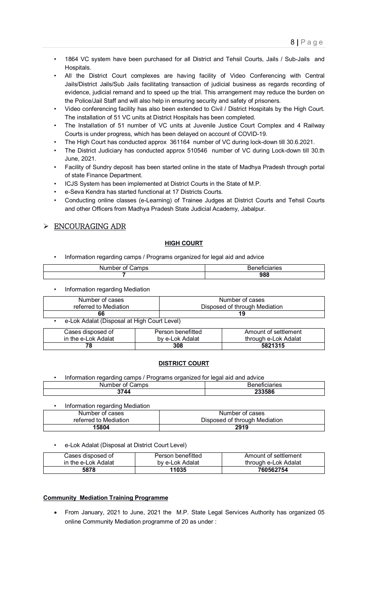- 1864 VC system have been purchased for all District and Tehsil Courts, Jails / Sub-Jails and Hospitals.
- All the District Court complexes are having facility of Video Conferencing with Central Jails/District Jails/Sub Jails facilitating transaction of judicial business as regards recording of evidence, judicial remand and to speed up the trial. This arrangement may reduce the burden on the Police/Jail Staff and will also help in ensuring security and safety of prisoners.
- Video conferencing facility has also been extended to Civil / District Hospitals by the High Court. The installation of 51 VC units at District Hospitals has been completed.
- The Installation of 51 number of VC units at Juvenile Justice Court Complex and 4 Railway Courts is under progress, which has been delayed on account of COVID-19.
- The High Court has conducted approx 361164 number of VC during lock-down till 30.6.2021.
- The District Judiciary has conducted approx 510546 number of VC during Lock-down till 30.th June, 2021.
- Facility of Sundry deposit has been started online in the state of Madhya Pradesh through portal of state Finance Department.
- ICJS System has been implemented at District Courts in the State of M.P.
- e-Seva Kendra has started functional at 17 Districts Courts.
- Conducting online classes (e-Learning) of Trainee Judges at District Courts and Tehsil Courts and other Officers from Madhya Pradesh State Judicial Academy, Jabalpur.

# ENCOURAGING ADR

### **HIGH COURT**

• Information regarding camps / Programs organized for legal aid and advice

| $-$<br>זר<br>. J. S |     |
|---------------------|-----|
|                     | 988 |
|                     |     |

• Information regarding Mediation

| Number of cases                             | Number of cases               |
|---------------------------------------------|-------------------------------|
| referred to Mediation                       | Disposed of through Mediation |
| 66                                          | 19                            |
| e-Lok Adalat (Disposal at High Court Level) |                               |
| . .                                         | ----<br>.                     |

| Cases disposed of   | Person benefitted | Amount of settlement |
|---------------------|-------------------|----------------------|
| in the e-Lok Adalat | by e-Lok Adalat   | through e-Lok Adalat |
| 78                  | 308               | 5821315              |

#### **DISTRICT COURT**

• Information regarding camps / Programs organized for legal aid and advice Number of Camps Beneficiaries **3744 233586**

| Information regarding Mediation |                               |
|---------------------------------|-------------------------------|
| Number of cases                 | Number of cases               |
| referred to Mediation           | Disposed of through Mediation |
| 15804                           | 2919                          |

e-Lok Adalat (Disposal at District Court Level)

| Cases disposed of   | Person benefitted | Amount of settlement |
|---------------------|-------------------|----------------------|
| in the e-Lok Adalat | by e-Lok Adalat   | through e-Lok Adalat |
| 5878                | 11035             | 760562754            |

#### **Community Mediation Training Programme**

 From January, 2021 to June, 2021 the M.P. State Legal Services Authority has organized 05 online Community Mediation programme of 20 as under :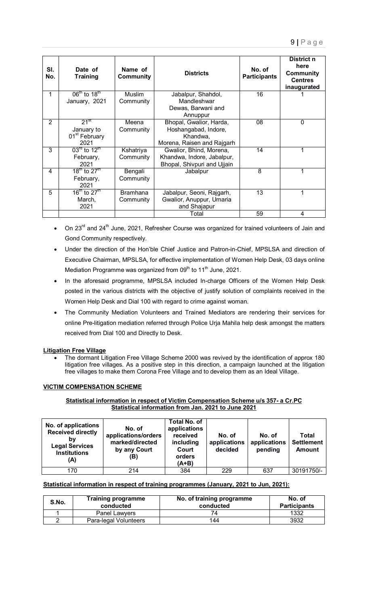| SI.<br>No. | Date of<br>Training                  | Name of<br><b>Community</b> | <b>Districts</b>            | No. of<br><b>Participants</b> | District n<br>here<br><b>Community</b><br><b>Centres</b><br>inaugurated |
|------------|--------------------------------------|-----------------------------|-----------------------------|-------------------------------|-------------------------------------------------------------------------|
| 1          | $06^{\text{m}}$ to 18 <sup>th</sup>  | <b>Muslim</b>               | Jabalpur, Shahdol,          | 16                            |                                                                         |
|            | January, 2021                        | Community                   | Mandleshwar                 |                               |                                                                         |
|            |                                      |                             | Dewas, Barwani and          |                               |                                                                         |
|            |                                      |                             | Annuppur                    |                               |                                                                         |
| 2          | $21^{st}$                            | Meena                       | Bhopal, Gwalior, Harda,     | 08                            | $\mathbf 0$                                                             |
|            | January to                           | Community                   | Hoshangabad, Indore,        |                               |                                                                         |
|            | 01 <sup>st</sup> February            |                             | Khandwa,                    |                               |                                                                         |
|            | 2021                                 |                             | Morena, Raisen and Rajgarh  |                               |                                                                         |
| 3          | $03rd$ to 12 <sup>th</sup>           | Kshatriya                   | Gwalior, Bhind, Morena,     | 14                            | 1                                                                       |
|            | February,                            | Community                   | Khandwa, Indore, Jabalpur,  |                               |                                                                         |
|            | 2021                                 |                             | Bhopal, Shivpuri and Ujjain |                               |                                                                         |
| 4          | $18^{\text{th}}$ to $27^{\text{th}}$ | Bengali                     | Jabalpur                    | 8                             |                                                                         |
|            | February,                            | Community                   |                             |                               |                                                                         |
|            | 2021                                 |                             |                             |                               |                                                                         |
| 5          | $16^{\text{th}}$ to $27^{\text{th}}$ | <b>Bramhana</b>             | Jabalpur, Seoni, Rajgarh,   | 13                            |                                                                         |
|            | March,                               | Community                   | Gwalior, Anuppur, Umaria    |                               |                                                                         |
|            | 2021                                 |                             | and Shajapur                |                               |                                                                         |
|            |                                      |                             | Total                       | 59                            | 4                                                                       |

- $\bullet$  On 23<sup>rd</sup> and 24<sup>th</sup> June, 2021, Refresher Course was organized for trained volunteers of Jain and Gond Community respectively.
- Under the direction of the Hon'ble Chief Justice and Patron-in-Chief, MPSLSA and direction of Executive Chairman, MPSLSA, for effective implementation of Women Help Desk, 03 days online Mediation Programme was organized from 09<sup>th</sup> to 11<sup>th</sup> June, 2021.
- In the aforesaid programme, MPSLSA included In-charge Officers of the Women Help Desk posted in the various districts with the objective of justify solution of complaints received in the Women Help Desk and Dial 100 with regard to crime against woman.
- The Community Mediation Volunteers and Trained Mediators are rendering their services for online Pre-litigation mediation referred through Police Urja Mahila help desk amongst the matters received from Dial 100 and Directly to Desk.

## **Litigation Free Village**

 The dormant Litigation Free Village Scheme 2000 was revived by the identification of approx 180 litigation free villages. As a positive step in this direction, a campaign launched at the litigation free villages to make them Corona Free Village and to develop them as an Ideal Village.

## **VICTIM COMPENSATION SCHEME**

### **Statistical information in respect of Victim Compensation Scheme u/s 357- a Cr.PC Statistical information from Jan. 2021 to June 2021**

| No. of applications<br><b>Received directly</b><br>bv<br><b>Legal Services</b><br><b>Institutions</b><br>(A) | No. of<br>applications/orders<br>marked/directed<br>by any Court<br>(B) | Total No. of<br>applications<br>received<br>including<br>Court<br>orders<br>$(A+B)$ | No. of<br>applications<br>decided | No. of<br>applications<br>pending | Total<br><b>Settlement</b><br><b>Amount</b> |
|--------------------------------------------------------------------------------------------------------------|-------------------------------------------------------------------------|-------------------------------------------------------------------------------------|-----------------------------------|-----------------------------------|---------------------------------------------|
| 170                                                                                                          | 214                                                                     | 384                                                                                 | 229                               | 637                               | 30191750/-                                  |

## **Statistical information in respect of training programmes (January, 2021 to Jun, 2021):**

| S.No. | <b>Training programme</b><br>conducted | No. of training programme<br>conducted | No. of<br><b>Participants</b> |
|-------|----------------------------------------|----------------------------------------|-------------------------------|
|       | Panel Lawyers                          |                                        | 1332                          |
|       | Para-legal Volunteers                  | 144                                    | 3932                          |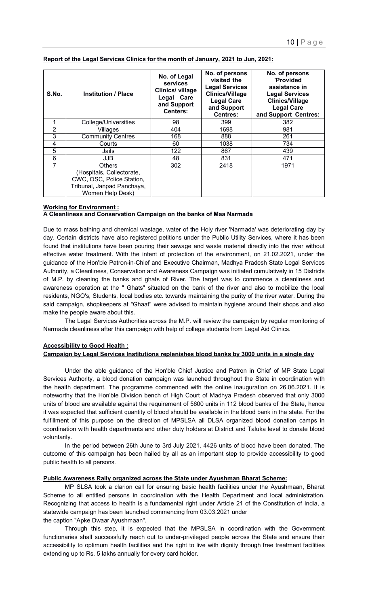| S.No.          | <b>Institution / Place</b>                                                                                         | No. of Legal<br><b>services</b><br>Clinics/ village<br>Legal Care<br>and Support<br><b>Centers:</b> | No. of persons<br>visited the<br><b>Legal Services</b><br><b>Clinics/Village</b><br><b>Legal Care</b><br>and Support<br><b>Centres:</b> | No. of persons<br>'Provided<br>assistance in<br><b>Legal Services</b><br><b>Clinics/Village</b><br><b>Legal Care</b><br>and Support Centres: |
|----------------|--------------------------------------------------------------------------------------------------------------------|-----------------------------------------------------------------------------------------------------|-----------------------------------------------------------------------------------------------------------------------------------------|----------------------------------------------------------------------------------------------------------------------------------------------|
|                | College/Universities                                                                                               | 98                                                                                                  | 399                                                                                                                                     | 382                                                                                                                                          |
| $\overline{2}$ | Villages                                                                                                           | 404                                                                                                 | 1698                                                                                                                                    | 981                                                                                                                                          |
| 3              | <b>Community Centres</b>                                                                                           | 168                                                                                                 | 888                                                                                                                                     | 261                                                                                                                                          |
| 4              | Courts                                                                                                             | 60                                                                                                  | 1038                                                                                                                                    | 734                                                                                                                                          |
| 5              | Jails                                                                                                              | 122                                                                                                 | 867                                                                                                                                     | 439                                                                                                                                          |
| 6              | <b>JJB</b>                                                                                                         | 48                                                                                                  | 831                                                                                                                                     | 471                                                                                                                                          |
| 7              | Others<br>(Hospitals, Collectorate,<br>CWC, OSC, Police Station,<br>Tribunal, Janpad Panchaya,<br>Women Help Desk) | 302                                                                                                 | 2418                                                                                                                                    | 1971                                                                                                                                         |

#### **Report of the Legal Services Clinics for the month of January, 2021 to Jun, 2021:**

#### **Working for Environment : A Cleanliness and Conservation Campaign on the banks of Maa Narmada**

Due to mass bathing and chemical wastage, water of the Holy river 'Narmada' was deteriorating day by day. Certain districts have also registered petitions under the Public Utility Services, where it has been found that institutions have been pouring their sewage and waste material directly into the river without effective water treatment. With the intent of protection of the environment, on 21.02.2021, under the guidance of the Hon'ble Patron-in-Chief and Executive Chairman, Madhya Pradesh State Legal Services Authority, a Cleanliness, Conservation and Awareness Campaign was initiated cumulatively in 15 Districts of M.P. by cleaning the banks and ghats of River. The target was to commence a cleanliness and awareness operation at the " Ghats" situated on the bank of the river and also to mobilize the local residents, NGO's, Students, local bodies etc. towards maintaining the purity of the river water. During the said campaign, shopkeepers at "Ghaat" were advised to maintain hygiene around their shops and also make the people aware about this.

 The Legal Services Authorities across the M.P. will review the campaign by regular monitoring of Narmada cleanliness after this campaign with help of college students from Legal Aid Clinics.

#### **Accessibility to Good Health :**

#### **Campaign by Legal Services Institutions replenishes blood banks by 3000 units in a single day**

 Under the able guidance of the Hon'ble Chief Justice and Patron in Chief of MP State Legal Services Authority, a blood donation campaign was launched throughout the State in coordination with the health department. The programme commenced with the online inauguration on 26.06.2021. It is noteworthy that the Hon'ble Division bench of High Court of Madhya Pradesh observed that only 3000 units of blood are available against the requirement of 5600 units in 112 blood banks of the State, hence it was expected that sufficient quantity of blood should be available in the blood bank in the state. For the fulfillment of this purpose on the direction of MPSLSA all DLSA organized blood donation camps in coordination with health departments and other duty holders at District and Taluka level to donate blood voluntarily.

 In the period between 26th June to 3rd July 2021, 4426 units of blood have been donated. The outcome of this campaign has been hailed by all as an important step to provide accessibility to good public health to all persons.

#### **Public Awareness Rally organized across the State under Ayushman Bharat Scheme:**

 MP SLSA took a clarion call for ensuring basic health facilities under the Ayushmaan, Bharat Scheme to all entitled persons in coordination with the Health Department and local administration. Recognizing that access to health is a fundamental right under Article 21 of the Constitution of India, a statewide campaign has been launched commencing from 03.03.2021 under the caption "Apke Dwaar Ayushmaan".

 Through this step, it is expected that the MPSLSA in coordination with the Government functionaries shall successfully reach out to under-privileged people across the State and ensure their accessibility to optimum health facilities and the right to live with dignity through free treatment facilities extending up to Rs. 5 lakhs annually for every card holder.